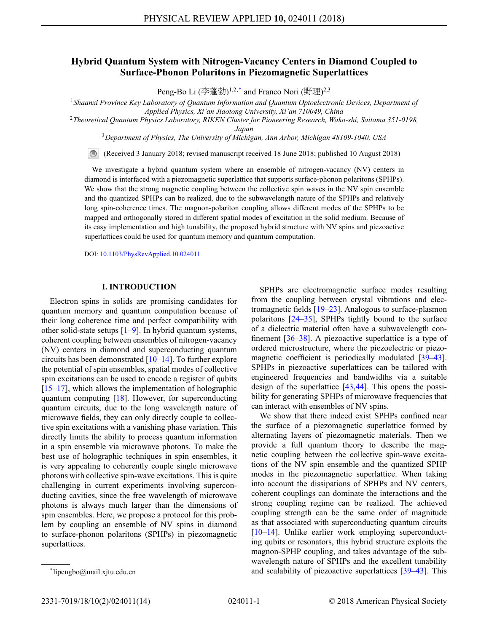# **Hybrid Quantum System with Nitrogen-Vacancy Centers in Diamond Coupled to Surface-Phonon Polaritons in Piezomagnetic Superlattices**

Peng-Bo Li (李蓬勃)<sup>1,2,\*</sup> and Franco Nori (野理)<sup>2,3</sup>

<sup>1</sup>*Shaanxi Province Key Laboratory of Quantum Information and Quantum Optoelectronic Devices, Department of Applied Physics, Xi'an Jiaotong University, Xi'an 710049, China*

<sup>2</sup>*Theoretical Quantum Physics Laboratory, RIKEN Cluster for Pioneering Research, Wako-shi, Saitama 351-0198,*

*Japan*

<sup>3</sup>*Department of Physics, The University of Michigan, Ann Arbor, Michigan 48109-1040, USA*

(Received 3 January 2018; revised manuscript received 18 June 2018; published 10 August 2018)

We investigate a hybrid quantum system where an ensemble of nitrogen-vacancy (NV) centers in diamond is interfaced with a piezomagnetic superlattice that supports surface-phonon polaritons (SPHPs). We show that the strong magnetic coupling between the collective spin waves in the NV spin ensemble and the quantized SPHPs can be realized, due to the subwavelength nature of the SPHPs and relatively long spin-coherence times. The magnon-polariton coupling allows different modes of the SPHPs to be mapped and orthogonally stored in different spatial modes of excitation in the solid medium. Because of its easy implementation and high tunability, the proposed hybrid structure with NV spins and piezoactive superlattices could be used for quantum memory and quantum computation.

DOI: [10.1103/PhysRevApplied.10.024011](http://dx.doi.org/10.1103/PhysRevApplied.10.024011)

### **I. INTRODUCTION**

Electron spins in solids are promising candidates for quantum memory and quantum computation because of their long coherence time and perfect compatibility with other solid-state setups [\[1](#page-11-0)[–9\]](#page-11-1). In hybrid quantum systems, coherent coupling between ensembles of nitrogen-vacancy (NV) centers in diamond and superconducting quantum circuits has been demonstrated [\[10–](#page-11-2)[14\]](#page-11-3). To further explore the potential of spin ensembles, spatial modes of collective spin excitations can be used to encode a register of qubits  $[15–17]$  $[15–17]$ , which allows the implementation of holographic quantum computing [\[18\]](#page-11-6). However, for superconducting quantum circuits, due to the long wavelength nature of microwave fields, they can only directly couple to collective spin excitations with a vanishing phase variation. This directly limits the ability to process quantum information in a spin ensemble via microwave photons. To make the best use of holographic techniques in spin ensembles, it is very appealing to coherently couple single microwave photons with collective spin-wave excitations. This is quite challenging in current experiments involving superconducting cavities, since the free wavelength of microwave photons is always much larger than the dimensions of spin ensembles. Here, we propose a protocol for this problem by coupling an ensemble of NV spins in diamond to surface-phonon polaritons (SPHPs) in piezomagnetic superlattices.

SPHPs are electromagnetic surface modes resulting from the coupling between crystal vibrations and electromagnetic fields [\[19](#page-11-7)[–23\]](#page-12-0). Analogous to surface-plasmon polaritons [\[24](#page-12-1)[–35\]](#page-12-2), SPHPs tightly bound to the surface of a dielectric material often have a subwavelength confinement [\[36–](#page-12-3)[38\]](#page-12-4). A piezoactive superlattice is a type of ordered microstructure, where the piezoelectric or piezo-magnetic coefficient is periodically modulated [\[39](#page-12-5)[–43\]](#page-12-6). SPHPs in piezoactive superlattices can be tailored with engineered frequencies and bandwidths via a suitable design of the superlattice [\[43](#page-12-6)[,44\]](#page-12-7). This opens the possibility for generating SPHPs of microwave frequencies that can interact with ensembles of NV spins.

We show that there indeed exist SPHPs confined near the surface of a piezomagnetic superlattice formed by alternating layers of piezomagnetic materials. Then we provide a full quantum theory to describe the magnetic coupling between the collective spin-wave excitations of the NV spin ensemble and the quantized SPHP modes in the piezomagnetic superlattice. When taking into account the dissipations of SPHPs and NV centers, coherent couplings can dominate the interactions and the strong coupling regime can be realized. The achieved coupling strength can be the same order of magnitude as that associated with superconducting quantum circuits [\[10–](#page-11-2)[14\]](#page-11-3). Unlike earlier work employing superconducting qubits or resonators, this hybrid structure exploits the magnon-SPHP coupling, and takes advantage of the subwavelength nature of SPHPs and the excellent tunability and scalability of piezoactive superlattices [\[39](#page-12-5)[–43\]](#page-12-6). This

<sup>\*</sup>lipengbo@mail.xjtu.edu.cn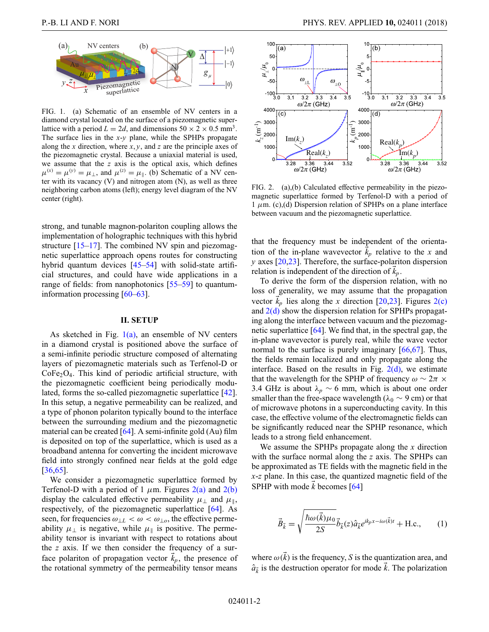<span id="page-1-0"></span>FIG. 1. (a) Schematic of an ensemble of NV centers in a diamond crystal located on the surface of a piezomagnetic superlattice with a period  $L = 2d$ , and dimensions  $50 \times 2 \times 0.5$  mm<sup>3</sup>. The surface lies in the *x*-*y* plane, while the SPHPs propagate along the *x* direction, where *x*, *y*, and *z* are the principle axes of the piezomagnetic crystal. Because a uniaxial material is used, we assume that the *z* axis is the optical axis, which defines  $\mu^{(x)} = \mu^{(y)} = \mu_{\perp}$ , and  $\mu^{(z)} = \mu_{\parallel}$ . (b) Schematic of a NV center with its vacancy (V) and nitrogen atom (N), as well as three neighboring carbon atoms (left); energy level diagram of the NV center (right).

strong, and tunable magnon-polariton coupling allows the implementation of holographic techniques with this hybrid structure  $[15-17]$  $[15-17]$ . The combined NV spin and piezomagnetic superlattice approach opens routes for constructing hybrid quantum devices [\[45–](#page-12-8)[54\]](#page-13-0) with solid-state artificial structures, and could have wide applications in a range of fields: from nanophotonics [\[55–](#page-13-1)[59\]](#page-13-2) to quantuminformation processing  $[60-63]$  $[60-63]$ .

#### **II. SETUP**

As sketched in Fig.  $1(a)$ , an ensemble of NV centers in a diamond crystal is positioned above the surface of a semi-infinite periodic structure composed of alternating layers of piezomagnetic materials such as Terfenol-D or  $CoFe<sub>2</sub>O<sub>4</sub>$ . This kind of periodic artificial structure, with the piezomagnetic coefficient being periodically modulated, forms the so-called piezomagnetic superlattice [\[42\]](#page-12-9). In this setup, a negative permeability can be realized, and a type of phonon polariton typically bound to the interface between the surrounding medium and the piezomagnetic material can be created  $[64]$ . A semi-infinite gold  $(Au)$  film is deposited on top of the superlattice, which is used as a broadband antenna for converting the incident microwave field into strongly confined near fields at the gold edge [\[36](#page-12-3)[,65\]](#page-13-6).

We consider a piezomagnetic superlattice formed by Terfenol-D with a period of 1  $\mu$ m. Figures [2\(a\)](#page-1-1) and [2\(b\)](#page-1-1) display the calculated effective permeability  $\mu_{\perp}$  and  $\mu_{\parallel}$ , respectively, of the piezomagnetic superlattice [\[64\]](#page-13-5). As seen, for frequencies  $\omega_{\perp} \leq \omega \leq \omega_{\perp o}$ , the effective permeability  $\mu_{\perp}$  is negative, while  $\mu_{\parallel}$  is positive. The permeability tensor is invariant with respect to rotations about the *z* axis. If we then consider the frequency of a surface polariton of propagation vector  $\vec{k}_p$ , the presence of the rotational symmetry of the permeability tensor means

<span id="page-1-1"></span>

FIG. 2. (a),(b) Calculated effective permeability in the piezomagnetic superlattice formed by Terfenol-D with a period of 1  $\mu$ m. (c),(d) Dispersion relation of SPHPs on a plane interface between vacuum and the piezomagnetic superlattice.

that the frequency must be independent of the orientation of the in-plane wavevector  $\vec{k}_p$  relative to the *x* and *y* axes [\[20,](#page-11-8)[23\]](#page-12-0). Therefore, the surface-polariton dispersion relation is independent of the direction of  $\vec{k}_p$ .

To derive the form of the dispersion relation, with no loss of generality, we may assume that the propagation vector  $\vec{k}_p$  lies along the *x* direction [\[20](#page-11-8)[,23\]](#page-12-0). Figures [2\(c\)](#page-1-1) and  $2(d)$  show the dispersion relation for SPHPs propagating along the interface between vacuum and the piezomagnetic superlattice [\[64\]](#page-13-5). We find that, in the spectral gap, the in-plane wavevector is purely real, while the wave vector normal to the surface is purely imaginary [\[66](#page-13-7)[,67\]](#page-13-8). Thus, the fields remain localized and only propagate along the interface. Based on the results in Fig.  $2(d)$ , we estimate that the wavelength for the SPHP of frequency  $\omega \sim 2\pi \times$ 3.4 GHz is about  $\lambda_p \sim 6$  mm, which is about one order smaller than the free-space wavelength ( $\lambda_0 \sim 9$  cm) or that of microwave photons in a superconducting cavity. In this case, the effective volume of the electromagnetic fields can be significantly reduced near the SPHP resonance, which leads to a strong field enhancement.

We assume the SPHPs propagate along the *x* direction with the surface normal along the *z* axis. The SPHPs can be approximated as TE fields with the magnetic field in the *x*-*z* plane. In this case, the quantized magnetic field of the SPHP with mode  $\vec{k}$  becomes [\[64\]](#page-13-5)

$$
\vec{B}_{\vec{k}} = \sqrt{\frac{\hbar \omega(\vec{k}) \mu_0}{2S}} \vec{b}_{\vec{k}}(z) \hat{a}_{\vec{k}} e^{ik_p x - i\omega(\vec{k})t} + \text{H.c.}, \quad (1)
$$

where  $\omega(\vec{k})$  is the frequency, *S* is the quantization area, and  $\hat{a}_{\vec{k}}$  is the destruction operator for mode  $\vec{k}$ . The polarization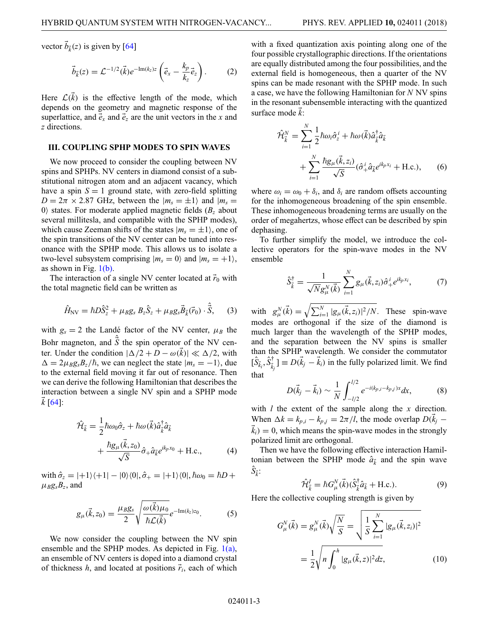vector  $\vec{b}_{\vec{k}}(z)$  is given by [\[64\]](#page-13-5)

$$
\vec{b}_{\vec{k}}(z) = \mathcal{L}^{-1/2}(\vec{k})e^{-\text{Im}(k_z)z} \left(\vec{e}_x - \frac{k_p}{k_z}\vec{e}_z\right). \tag{2}
$$

Here  $\mathcal{L}(\vec{k})$  is the effective length of the mode, which depends on the geometry and magnetic response of the superlattice, and  $\vec{e}_x$  and  $\vec{e}_z$  are the unit vectors in the *x* and *z* directions.

#### **III. COUPLING SPHP MODES TO SPIN WAVES**

We now proceed to consider the coupling between NV spins and SPHPs. NV centers in diamond consist of a substitutional nitrogen atom and an adjacent vacancy, which have a spin  $S = 1$  ground state, with zero-field splitting  $D = 2\pi \times 2.87$  GHz, between the  $|m_s = \pm 1\rangle$  and  $|m_s =$ 0) states. For moderate applied magnetic fields  $(B<sub>z</sub>$  about several millitesla, and compatible with the SPHP modes), which cause Zeeman shifts of the states  $|m_s = \pm 1\rangle$ , one of the spin transitions of the NV center can be tuned into resonance with the SPHP mode. This allows us to isolate a two-level subsystem comprising  $|m_s = 0\rangle$  and  $|m_s = +1\rangle$ , as shown in Fig.  $1(b)$ .

The interaction of a single NV center located at  $\vec{r}_0$  with the total magnetic field can be written as

$$
\hat{H}_{\rm NV} = \hbar D \hat{S}_z^2 + \mu_B g_s B_z \hat{S}_z + \mu_B g_s \vec{B}_{\vec{k}}(\vec{r}_0) \cdot \hat{\vec{S}}, \quad (3)
$$

with  $g_s = 2$  the Landé factor of the NV center,  $\mu_B$  the Bohr magneton, and  $\hat{S}$  the spin operator of the NV center. Under the condition  $|\Delta/2 + D - \omega(\vec{k})| \ll \Delta/2$ , with  $\Delta = 2\mu_B g_s B_z/\hbar$ , we can neglect the state  $|m_s = -1\rangle$ , due to the external field moving it far out of resonance. Then we can derive the following Hamiltonian that describes the interaction between a single NV spin and a SPHP mode *k* [\[64\]](#page-13-5):

$$
\hat{\mathcal{H}}_{\vec{k}} = \frac{1}{2} \hbar \omega_0 \hat{\sigma}_z + \hbar \omega (\vec{k}) \hat{a}_{\vec{k}}^{\dagger} \hat{a}_{\vec{k}} \n+ \frac{\hbar g_\mu (\vec{k}, z_0)}{\sqrt{S}} \hat{\sigma}_+ \hat{a}_{\vec{k}} e^{ik_p x_0} + \text{H.c.,}
$$
\n(4)

with  $\hat{\sigma}_z = |+1\rangle\langle +1| - |0\rangle\langle 0|, \hat{\sigma}_+ = |+1\rangle\langle 0|, \hbar\omega_0 = \hbar D +$  $\mu_B g_s B_z$ , and

$$
g_{\mu}(\vec{k},z_0) = \frac{\mu_B g_s}{2} \sqrt{\frac{\omega(\vec{k})\mu_0}{\hbar \mathcal{L}(\vec{k})}} e^{-\text{Im}(k_z)z_0}.
$$
 (5)

We now consider the coupling between the NV spin ensemble and the SPHP modes. As depicted in Fig.  $1(a)$ , an ensemble of NV centers is doped into a diamond crystal of thickness  $h$ , and located at positions  $\vec{r}_i$ , each of which with a fixed quantization axis pointing along one of the four possible crystallographic directions. If the orientations are equally distributed among the four possibilities, and the external field is homogeneous, then a quarter of the NV spins can be made resonant with the SPHP mode. In such a case, we have the following Hamiltonian for *N* NV spins in the resonant subensemble interacting with the quantized surface mode *k* :

$$
\hat{\mathcal{H}}_{\vec{k}}^N = \sum_{i=1}^N \frac{1}{2} \hbar \omega_i \hat{\sigma}_z^i + \hbar \omega (\vec{k}) \hat{a}_{\vec{k}}^\dagger \hat{a}_{\vec{k}} \n+ \sum_{i=1}^N \frac{\hbar g_\mu(\vec{k}, z_i)}{\sqrt{S}} (\hat{\sigma}_+^i \hat{a}_{\vec{k}} e^{ik_p x_i} + \text{H.c.}),
$$
\n(6)

where  $\omega_i = \omega_0 + \delta_i$ , and  $\delta_i$  are random offsets accounting for the inhomogeneous broadening of the spin ensemble. These inhomogeneous broadening terms are usually on the order of megahertzs, whose effect can be described by spin dephasing.

To further simplify the model, we introduce the collective operators for the spin-wave modes in the NV ensemble

$$
\hat{S}_{\vec{k}}^{\dagger} = \frac{1}{\sqrt{N}g_{\mu}^{N}(\vec{k})} \sum_{i=1}^{N} g_{\mu}(\vec{k}, z_i) \hat{\sigma}_{+}^{i} e^{ik_{p}x_i}, \tag{7}
$$

with  $g_{\mu}^N(\vec{k}) = \sqrt{\sum_{i=1}^N |g_{\mu}(\vec{k}, z_i)|^2/N}$ . These spin-wave modes are orthogonal if the size of the diamond is much larger than the wavelength of the SPHP modes, and the separation between the NV spins is smaller than the SPHP wavelength. We consider the commutator  $[\hat{S}_{\vec{k}_i}, \hat{S}_{\vec{k}_j}^{\dagger}] \equiv D(\vec{k}_j - \vec{k}_i)$  in the fully polarized limit. We find that

$$
D(\vec{k}_j - \vec{k}_i) \sim \frac{1}{N} \int_{-l/2}^{l/2} e^{-i(k_{p,i} - k_{p,j})x} dx, \tag{8}
$$

with *l* the extent of the sample along the *x* direction. When  $\Delta k = k_{p,i} - k_{p,j} = 2\pi/l$ , the mode overlap  $D(\vec{k}_j - \vec{k}_j)$  $\vec{k}_i$ ) = 0, which means the spin-wave modes in the strongly polarized limit are orthogonal.

Then we have the following effective interaction Hamiltonian between the SPHP mode  $\hat{a}_{\vec{k}}$  and the spin wave  $\hat{S}_{\vec{k}}$ :

<span id="page-2-0"></span>
$$
\hat{\mathcal{H}}_{\vec{k}}^I = \hbar G^N_\mu(\vec{k}) (\hat{S}_{\vec{k}}^\dagger \hat{a}_{\vec{k}} + \text{H.c.}). \tag{9}
$$

Here the collective coupling strength is given by

$$
G_{\mu}^{N}(\vec{k}) = g_{\mu}^{N}(\vec{k}) \sqrt{\frac{N}{S}} = \sqrt{\frac{1}{S} \sum_{i=1}^{N} |g_{\mu}(\vec{k}, z_{i})|^{2}}
$$

$$
= \frac{1}{2} \sqrt{n \int_{0}^{h} |g_{\mu}(\vec{k}, z)|^{2} dz},
$$
(10)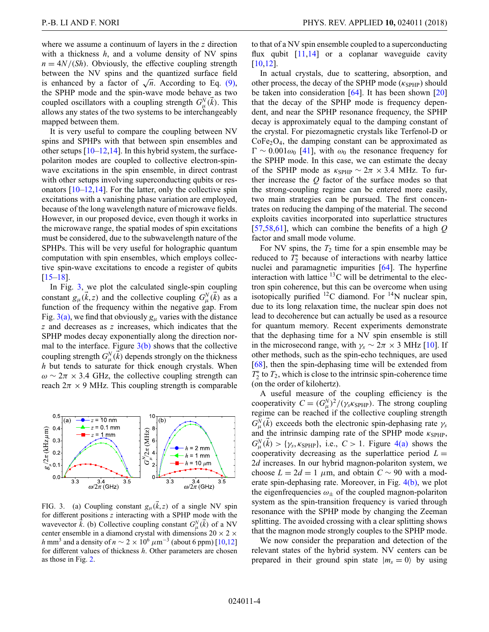where we assume a continuum of layers in the *z* direction with a thickness *h*, and a volume density of NV spins  $n = \frac{4N}{(Sh)}$ . Obviously, the effective coupling strength between the NV spins and the quantized surface field is enhanced by a factor of  $\sqrt{n}$ . According to Eq. [\(9\),](#page-2-0) the SPHP mode and the spin-wave mode behave as two coupled oscillators with a coupling strength  $G_{\mu}^{N}(\vec{k})$ . This allows any states of the two systems to be interchangeably mapped between them.

It is very useful to compare the coupling between NV spins and SPHPs with that between spin ensembles and other setups  $[10-12,14]$  $[10-12,14]$  $[10-12,14]$ . In this hybrid system, the surfacepolariton modes are coupled to collective electron-spinwave excitations in the spin ensemble, in direct contrast with other setups involving superconducting qubits or resonators  $[10-12,14]$  $[10-12,14]$  $[10-12,14]$ . For the latter, only the collective spin excitations with a vanishing phase variation are employed, because of the long wavelength nature of microwave fields. However, in our proposed device, even though it works in the microwave range, the spatial modes of spin excitations must be considered, due to the subwavelength nature of the SPHPs. This will be very useful for holographic quantum computation with spin ensembles, which employs collective spin-wave excitations to encode a register of qubits [\[15](#page-11-4)[–18\]](#page-11-6).

In Fig. [3,](#page-3-0) we plot the calculated single-spin coupling constant  $g_{\mu}(\vec{k}, z)$  and the collective coupling  $G_{\mu}^{N}(\vec{k})$  as a function of the frequency within the negative gap. From Fig.  $3(a)$ , we find that obviously  $g_\mu$  varies with the distance *z* and decreases as *z* increases, which indicates that the SPHP modes decay exponentially along the direction normal to the interface. Figure  $3(b)$  shows that the collective coupling strength  $G^N_\mu(\vec{k})$  depends strongly on the thickness *h* but tends to saturate for thick enough crystals. When  $\omega \sim 2\pi \times 3.4$  GHz, the collective coupling strength can reach  $2\pi \times 9$  MHz. This coupling strength is comparable

<span id="page-3-0"></span>

FIG. 3. (a) Coupling constant  $g_{\mu}(\vec{k},z)$  of a single NV spin for different positions *z* interacting with a SPHP mode with the wavevector  $\vec{k}$ . (b) Collective coupling constant  $G_{\mu}^{N}(\vec{k})$  of a NV center ensemble in a diamond crystal with dimensions  $20 \times 2 \times$ *h* mm<sup>3</sup> and a density of  $n \sim 2 \times 10^6 \ \mu m^{-3}$  (about 6 ppm) [\[10,](#page-11-2)[12\]](#page-11-9) for different values of thickness *h*. Other parameters are chosen as those in Fig. [2.](#page-1-1)

to that of a NV spin ensemble coupled to a superconducting flux qubit  $[11,14]$  $[11,14]$  or a coplanar waveguide cavity [\[10,](#page-11-2)[12\]](#page-11-9).

In actual crystals, due to scattering, absorption, and other process, the decay of the SPHP mode  $(\kappa_{\text{SPHP}})$  should be taken into consideration  $[64]$ . It has been shown  $[20]$ that the decay of the SPHP mode is frequency dependent, and near the SPHP resonance frequency, the SPHP decay is approximately equal to the damping constant of the crystal. For piezomagnetic crystals like Terfenol-D or  $CoFe<sub>2</sub>O<sub>4</sub>$ , the damping constant can be approximated as  $\Gamma \sim 0.001\omega_0$  [\[41\]](#page-12-10), with  $\omega_0$  the resonance frequency for the SPHP mode. In this case, we can estimate the decay of the SPHP mode as  $\kappa_{\text{SPHP}} \sim 2\pi \times 3.4$  MHz. To further increase the *Q* factor of the surface modes so that the strong-coupling regime can be entered more easily, two main strategies can be pursued. The first concentrates on reducing the damping of the material. The second exploits cavities incorporated into superlattice structures [\[57,](#page-13-9)[58](#page-13-10)[,61\]](#page-13-11), which can combine the benefits of a high *Q* factor and small mode volume.

For NV spins, the  $T_2$  time for a spin ensemble may be reduced to  $T_2^*$  because of interactions with nearby lattice nuclei and paramagnetic impurities [\[64\]](#page-13-5). The hyperfine interaction with lattice  ${}^{13}$ C will be detrimental to the electron spin coherence, but this can be overcome when using isotopically purified  ${}^{12}$ C diamond. For  ${}^{14}$ N nuclear spin, due to its long relaxation time, the nuclear spin does not lead to decoherence but can actually be used as a resource for quantum memory. Recent experiments demonstrate that the dephasing time for a NV spin ensemble is still in the microsecond range, with  $\gamma_s \sim 2\pi \times 3$  MHz [\[10\]](#page-11-2). If other methods, such as the spin-echo techniques, are used [\[68\]](#page-13-12), then the spin-dephasing time will be extended from  $T_2^*$  to  $T_2$ , which is close to the intrinsic spin-coherence time (on the order of kilohertz).

A useful measure of the coupling efficiency is the cooperativity  $C = (G_{\mu}^{N})^2/(\gamma_s \kappa_{\text{SPHP}})$ . The strong coupling regime can be reached if the collective coupling strength  $G_{\mu}^{\overline{N}}(\vec{k})$  exceeds both the electronic spin-dephasing rate  $\gamma_s$ and the intrinsic damping rate of the SPHP mode  $\kappa_{\text{SPHP}}$ ,  $G_{\mu}^{N}(\vec{k}) > \{\gamma_s, \kappa_{\text{SPHP}}\}, \text{ i.e., } C > 1. \text{ Figure 4(a) shows the}$  $G_{\mu}^{N}(\vec{k}) > \{\gamma_s, \kappa_{\text{SPHP}}\}, \text{ i.e., } C > 1. \text{ Figure 4(a) shows the}$  $G_{\mu}^{N}(\vec{k}) > \{\gamma_s, \kappa_{\text{SPHP}}\}, \text{ i.e., } C > 1. \text{ Figure 4(a) shows the}$ cooperativity decreasing as the superlattice period  $L =$ 2*d* increases. In our hybrid magnon-polariton system, we choose  $L = 2d = 1$  µm, and obtain  $C \sim 90$  with a moderate spin-dephasing rate. Moreover, in Fig. [4\(b\),](#page-4-0) we plot the eigenfrequencies  $\omega_+$  of the coupled magnon-polariton system as the spin-transition frequency is varied through resonance with the SPHP mode by changing the Zeeman splitting. The avoided crossing with a clear splitting shows that the magnon mode strongly couples to the SPHP mode.

We now consider the preparation and detection of the relevant states of the hybrid system. NV centers can be prepared in their ground spin state  $|m_s = 0\rangle$  by using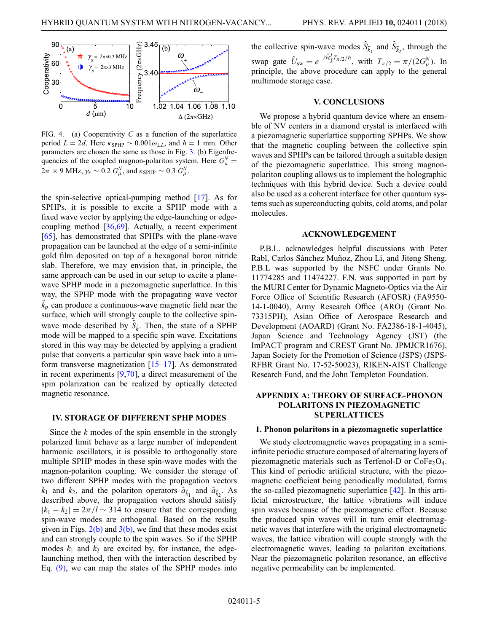<span id="page-4-0"></span>

FIG. 4. (a) Cooperativity *C* as a function of the superlattice period  $L = 2d$ . Here  $\kappa_{\text{SPHP}} \sim 0.001 \omega_{\perp L}$ , and  $h = 1$  mm. Other parameters are chosen the same as those in Fig. [3.](#page-3-0) (b) Eigenfrequencies of the coupled magnon-polariton system. Here  $G_{\mu}^{N} =$  $2\pi \times 9$  MHz,  $\gamma_s \sim 0.2$   $G^N_\mu$ , and  $\kappa_{\rm SPHP} \sim 0.3$   $G^N_\mu$ .

the spin-selective optical-pumping method [\[17\]](#page-11-5). As for SPHPs, it is possible to excite a SPHP mode with a fixed wave vector by applying the edge-launching or edgecoupling method [\[36](#page-12-3)[,69\]](#page-13-13). Actually, a recent experiment [\[65\]](#page-13-6), has demonstrated that SPHPs with the plane-wave propagation can be launched at the edge of a semi-infinite gold film deposited on top of a hexagonal boron nitride slab. Therefore, we may envision that, in principle, the same approach can be used in our setup to excite a planewave SPHP mode in a piezomagnetic superlattice. In this way, the SPHP mode with the propagating wave vector  $\vec{k}_p$  can produce a continuous-wave magnetic field near the surface, which will strongly couple to the collective spinwave mode described by  $\hat{S}_{\vec{k}}$ . Then, the state of a SPHP mode will be mapped to a specific spin wave. Excitations stored in this way may be detected by applying a gradient pulse that converts a particular spin wave back into a uniform transverse magnetization  $[15-17]$  $[15-17]$ . As demonstrated in recent experiments [\[9](#page-11-1)[,70\]](#page-13-14), a direct measurement of the spin polarization can be realized by optically detected magnetic resonance.

### **IV. STORAGE OF DIFFERENT SPHP MODES**

Since the *k* modes of the spin ensemble in the strongly polarized limit behave as a large number of independent harmonic oscillators, it is possible to orthogonally store multiple SPHP modes in these spin-wave modes with the magnon-polariton coupling. We consider the storage of two different SPHP modes with the propagation vectors  $k_1$  and  $k_2$ , and the polariton operators  $\hat{a}_{\vec{k}_1}$  and  $\hat{a}_{\vec{k}_2}$ . As described above, the propagation vectors should satisfy  $|k_1 - k_2| = 2\pi/l \sim 314$  to ensure that the corresponding spin-wave modes are orthogonal. Based on the results given in Figs.  $2(b)$  and  $3(b)$ , we find that these modes exist and can strongly couple to the spin waves. So if the SPHP modes  $k_1$  and  $k_2$  are excited by, for instance, the edgelaunching method, then with the interaction described by Eq. [\(9\),](#page-2-0) we can map the states of the SPHP modes into

the collective spin-wave modes  $\hat{S}_{\vec{k}_1}$  and  $\hat{S}_{\vec{k}_2}$ , through the swap gate  $\hat{U}_{sw} = e^{-i\hat{\mathcal{H}}_{\vec{k}}^I T_{\pi/2}/\hbar}$ , with  $T_{\pi/2} = \pi/(2G_{\mu}^N)$ . In principle, the above procedure can apply to the general multimode storage case.

### **V. CONCLUSIONS**

We propose a hybrid quantum device where an ensemble of NV centers in a diamond crystal is interfaced with a piezomagnetic superlattice supporting SPHPs. We show that the magnetic coupling between the collective spin waves and SPHPs can be tailored through a suitable design of the piezomagnetic superlattice. This strong magnonpolariton coupling allows us to implement the holographic techniques with this hybrid device. Such a device could also be used as a coherent interface for other quantum systems such as superconducting qubits, cold atoms, and polar molecules.

### **ACKNOWLEDGEMENT**

P.B.L. acknowledges helpful discussions with Peter Rabl, Carlos Sánchez Muñoz, Zhou Li, and Jiteng Sheng. P.B.L was supported by the NSFC under Grants No. 11774285 and 11474227. F.N. was supported in part by the MURI Center for Dynamic Magneto-Optics via the Air Force Office of Scientific Research (AFOSR) (FA9550- 14-1-0040), Army Research Office (ARO) (Grant No. 73315PH), Asian Office of Aerospace Research and Development (AOARD) (Grant No. FA2386-18-1-4045), Japan Science and Technology Agency (JST) (the ImPACT program and CREST Grant No. JPMJCR1676), Japan Society for the Promotion of Science (JSPS) (JSPS-RFBR Grant No. 17-52-50023), RIKEN-AIST Challenge Research Fund, and the John Templeton Foundation.

## **APPENDIX A: THEORY OF SURFACE-PHONON POLARITONS IN PIEZOMAGNETIC SUPERLATTICES**

### **1. Phonon polaritons in a piezomagnetic superlattice**

We study electromagnetic waves propagating in a semiinfinite periodic structure composed of alternating layers of piezomagnetic materials such as Terfenol-D or  $CoFe<sub>2</sub>O<sub>4</sub>$ . This kind of periodic artificial structure, with the piezomagnetic coefficient being periodically modulated, forms the so-called piezomagnetic superlattice [\[42\]](#page-12-9). In this artificial microstructure, the lattice vibrations will induce spin waves because of the piezomagnetic effect. Because the produced spin waves will in turn emit electromagnetic waves that interfere with the original electromagnetic waves, the lattice vibration will couple strongly with the electromagnetic waves, leading to polariton excitations. Near the piezomagnetic polariton resonance, an effective negative permeability can be implemented.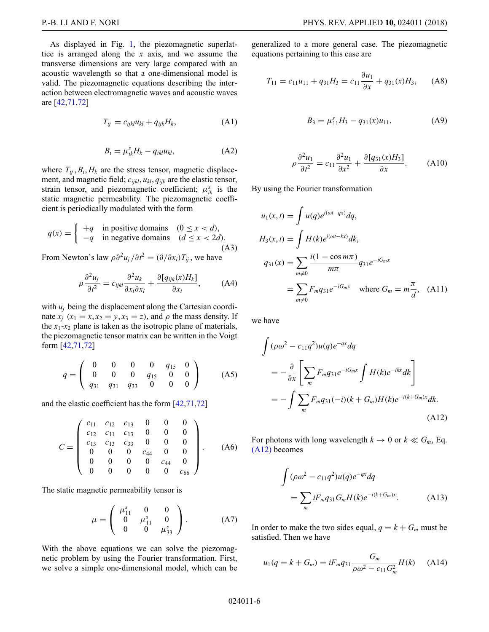As displayed in Fig. [1,](#page-1-0) the piezomagnetic superlattice is arranged along the *x* axis, and we assume the transverse dimensions are very large compared with an acoustic wavelength so that a one-dimensional model is valid. The piezomagnetic equations describing the interaction between electromagnetic waves and acoustic waves are [\[42,](#page-12-9)[71](#page-13-15)[,72\]](#page-13-16)

$$
T_{ij} = c_{ijkl} u_{kl} + q_{ijk} H_k, \tag{A1}
$$

$$
B_i = \mu_{ik}^s H_k - q_{ikl} u_{kl}, \tag{A2}
$$

where  $T_{ij}$ ,  $B_i$ ,  $H_k$  are the stress tensor, magnetic displacement, and magnetic field; *cijkl*, *ukl*, *qijk* are the elastic tensor, strain tensor, and piezomagnetic coefficient;  $\mu_{ik}^s$  is the static magnetic permeability. The piezomagnetic coefficient is periodically modulated with the form

$$
q(x) = \begin{cases} +q & \text{in positive domains} & (0 \le x < d), \\ -q & \text{in negative domains} & (d \le x < 2d). \end{cases}
$$
 (A3)

From Newton's law  $\rho \partial^2 u_j / \partial t^2 = (\partial / \partial x_i) T_{ij}$ , we have

$$
\rho \frac{\partial^2 u_j}{\partial t^2} = c_{ijkl} \frac{\partial^2 u_k}{\partial x_i \partial x_l} + \frac{\partial [q_{ijk}(x)H_k]}{\partial x_i}, \quad \text{(A4)}
$$

with  $u_i$  being the displacement along the Cartesian coordinate  $x_i$  ( $x_1 = x, x_2 = y, x_3 = z$ ), and  $\rho$  the mass density. If the  $x_1$ - $x_2$  plane is taken as the isotropic plane of materials, the piezomagnetic tensor matrix can be written in the Voigt form [\[42](#page-12-9)[,71](#page-13-15)[,72\]](#page-13-16)

$$
q = \left(\begin{array}{cccccc} 0 & 0 & 0 & 0 & q_{15} & 0 \\ 0 & 0 & 0 & q_{15} & 0 & 0 \\ q_{31} & q_{31} & q_{33} & 0 & 0 & 0 \end{array}\right) \tag{A5}
$$

and the elastic coefficient has the form [\[42](#page-12-9)[,71](#page-13-15)[,72\]](#page-13-16)

$$
C = \begin{pmatrix} c_{11} & c_{12} & c_{13} & 0 & 0 & 0 \\ c_{12} & c_{11} & c_{13} & 0 & 0 & 0 \\ c_{13} & c_{13} & c_{33} & 0 & 0 & 0 \\ 0 & 0 & 0 & c_{44} & 0 & 0 \\ 0 & 0 & 0 & 0 & c_{44} & 0 \\ 0 & 0 & 0 & 0 & 0 & c_{66} \end{pmatrix}.
$$
 (A6)

The static magnetic permeability tensor is

$$
\mu = \begin{pmatrix} \mu_{11}^s & 0 & 0 \\ 0 & \mu_{11}^s & 0 \\ 0 & 0 & \mu_{33}^s \end{pmatrix} .
$$
 (A7)

With the above equations we can solve the piezomagnetic problem by using the Fourier transformation. First, we solve a simple one-dimensional model, which can be generalized to a more general case. The piezomagnetic equations pertaining to this case are

$$
T_{11} = c_{11}u_{11} + q_{31}H_3 = c_{11}\frac{\partial u_1}{\partial x} + q_{31}(x)H_3, \quad (A8)
$$

<span id="page-5-1"></span>
$$
B_3 = \mu_{11}^s H_3 - q_{31}(x)u_{11}, \tag{A9}
$$

$$
\rho \frac{\partial^2 u_1}{\partial t^2} = c_{11} \frac{\partial^2 u_1}{\partial x^2} + \frac{\partial [q_{31}(x)H_3]}{\partial x}.
$$
 (A10)

By using the Fourier transformation

$$
u_1(x,t) = \int u(q)e^{i(\omega t - qx)}dq,
$$
  
\n
$$
H_3(x,t) = \int H(k)e^{i(\omega t - kx)}dk,
$$
  
\n
$$
q_{31}(x) = \sum_{m \neq 0} \frac{i(1 - \cos m\pi)}{m\pi} q_{31}e^{-iG_m x}
$$
  
\n
$$
= \sum_{m \neq 0} F_m q_{31}e^{-iG_m x} \text{ where } G_m = m\frac{\pi}{d}, \text{ (A11)}
$$

we have

$$
\int (\rho \omega^2 - c_{11} q^2) u(q) e^{-qx} dq
$$
\n
$$
= -\frac{\partial}{\partial x} \left[ \sum_m F_m q_{31} e^{-iG_m x} \int H(k) e^{-ikx} dk \right]
$$
\n
$$
= -\int \sum_m F_m q_{31} (-i)(k + G_m) H(k) e^{-i(k + G_m)x} dk.
$$
\n(A12)

For photons with long wavelength  $k \to 0$  or  $k \ll G_m$ , Eq. [\(A12\)](#page-5-0) becomes

<span id="page-5-0"></span>
$$
\int (\rho \omega^2 - c_{11} q^2) u(q) e^{-qx} dq
$$
  
= 
$$
\sum_m iF_m q_{31} G_m H(k) e^{-i(k + G_m)x}.
$$
 (A13)

In order to make the two sides equal,  $q = k + G_m$  must be satisfied. Then we have

$$
u_1(q = k + G_m) = iF_m q_{31} \frac{G_m}{\rho \omega^2 - c_{11} G_m^2} H(k) \quad (A14)
$$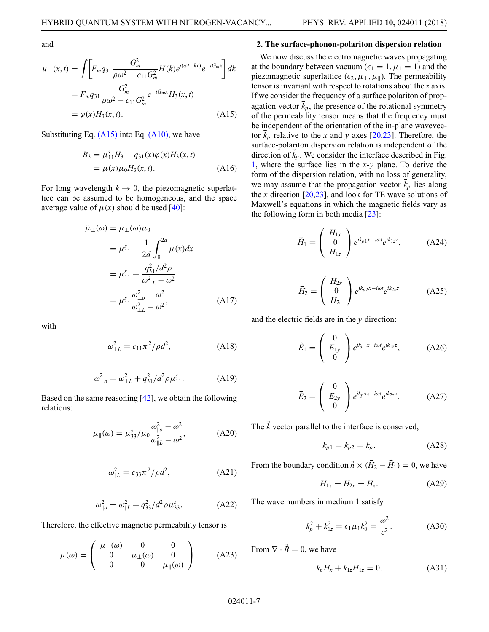and

$$
u_{11}(x,t) = \int \left[ F_m q_{31} \frac{G_m^2}{\rho \omega^2 - c_{11} G_m^2} H(k) e^{i(\omega t - kx)} e^{-iG_m x} \right] dk
$$
  
=  $F_m q_{31} \frac{G_m^2}{\rho \omega^2 - c_{11} G_m^2} e^{-iG_m x} H_3(x,t)$   
=  $\varphi(x) H_3(x,t)$ . (A15)

Substituting Eq.  $(A15)$  into Eq.  $(A10)$ , we have

$$
B_3 = \mu_{11}^s H_3 - q_{31}(x)\varphi(x)H_3(x, t)
$$
  
=  $\mu(x)\mu_0 H_3(x, t).$  (A16)

For long wavelength  $k \to 0$ , the piezomagnetic superlattice can be assumed to be homogeneous, and the space average value of  $\mu(x)$  should be used [\[40\]](#page-12-11):

$$
\tilde{\mu}_{\perp}(\omega) = \mu_{\perp}(\omega)\mu_0
$$
\n
$$
= \mu_{11}^s + \frac{1}{2d} \int_0^{2d} \mu(x) dx
$$
\n
$$
= \mu_{11}^s + \frac{q_{31}^2/d^2 \rho}{\omega_{\perp L}^2 - \omega^2}
$$
\n
$$
= \mu_{11}^s \frac{\omega_{\perp o}^2 - \omega^2}{\omega_{\perp L}^2 - \omega^2},
$$
\n(A17)

with

$$
\omega_{\perp L}^2 = c_{11} \pi^2 / \rho d^2, \tag{A18}
$$

$$
\omega_{\perp o}^2 = \omega_{\perp L}^2 + q_{31}^2 / d^2 \rho \mu_{11}^s. \tag{A19}
$$

Based on the same reasoning [\[42\]](#page-12-9), we obtain the following relations:

$$
\mu_{\parallel}(\omega) = \mu_{33}^s / \mu_0 \frac{\omega_{\parallel o}^2 - \omega^2}{\omega_{\parallel L}^2 - \omega^2},
$$
 (A20)

$$
\omega_{\parallel L}^2 = c_{33}\pi^2/\rho d^2,\tag{A21}
$$

$$
\omega_{\parallel o}^2 = \omega_{\parallel L}^2 + q_{33}^2 / d^2 \rho \mu_{33}^s. \tag{A22}
$$

Therefore, the effective magnetic permeability tensor is

$$
\mu(\omega) = \begin{pmatrix} \mu_{\perp}(\omega) & 0 & 0 \\ 0 & \mu_{\perp}(\omega) & 0 \\ 0 & 0 & \mu_{\parallel}(\omega) \end{pmatrix} .
$$
 (A23)

#### **2. The surface-phonon-polariton dispersion relation**

<span id="page-6-0"></span>We now discuss the electromagnetic waves propagating at the boundary between vacuum ( $\epsilon_1 = 1, \mu_1 = 1$ ) and the piezomagnetic superlattice ( $\epsilon_2, \mu_{\perp}, \mu_{\parallel}$ ). The permeability tensor is invariant with respect to rotations about the *z* axis. If we consider the frequency of a surface polariton of propagation vector  $\vec{k}_p$ , the presence of the rotational symmetry of the permeability tensor means that the frequency must be independent of the orientation of the in-plane wavevector  $\vec{k}_p$  relative to the *x* and *y* axes [\[20,](#page-11-8)[23\]](#page-12-0). Therefore, the surface-polariton dispersion relation is independent of the direction of  $\vec{k}_p$ . We consider the interface described in Fig. [1,](#page-1-0) where the surface lies in the *x*-*y* plane. To derive the form of the dispersion relation, with no loss of generality, we may assume that the propagation vector  $\vec{k}_p$  lies along the *x* direction  $[20,23]$  $[20,23]$ , and look for TE wave solutions of Maxwell's equations in which the magnetic fields vary as the following form in both media  $[23]$ :

$$
\vec{H}_1 = \begin{pmatrix} H_{1x} \\ 0 \\ H_{1z} \end{pmatrix} e^{ik_{p1}x - i\omega t} e^{ik_{1z}z}, \quad (A24)
$$

$$
\vec{H}_2 = \begin{pmatrix} H_{2x} \\ 0 \\ H_{2z} \end{pmatrix} e^{ik_{p2}x - i\omega t} e^{ik_{2z}z}
$$
 (A25)

and the electric fields are in the *y* direction:

$$
\vec{E}_1 = \begin{pmatrix} 0 \\ E_{1y} \\ 0 \end{pmatrix} e^{ik_{p1}x - i\omega t} e^{ik_{1z}z}, \quad (A26)
$$

$$
\vec{E}_2 = \begin{pmatrix} 0 \\ E_{2y} \\ 0 \end{pmatrix} e^{ik_p 2x - i\omega t} e^{ik_{2z}z}.
$$
 (A27)

The  $\vec{k}$  vector parallel to the interface is conserved,

<span id="page-6-1"></span>
$$
k_{p1} = k_{p2} = k_p.
$$
 (A28)

From the boundary condition  $\vec{n} \times (\vec{H}_2 - \vec{H}_1) = 0$ , we have

$$
H_{1x} = H_{2x} = H_x.
$$
 (A29)

The wave numbers in medium 1 satisfy

$$
k_p^2 + k_{1z}^2 = \epsilon_1 \mu_1 k_0^2 = \frac{\omega^2}{c^2}.
$$
 (A30)

From  $\nabla \cdot \vec{B} = 0$ , we have

$$
k_p H_x + k_{1z} H_{1z} = 0.
$$
 (A31)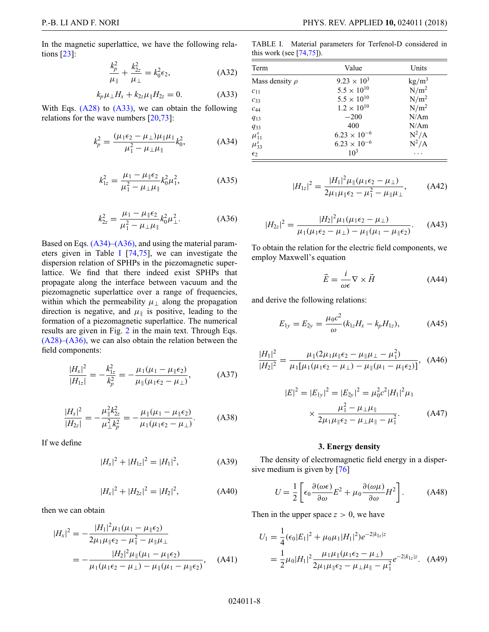In the magnetic superlattice, we have the following relations [\[23\]](#page-12-0):

$$
\frac{k_p^2}{\mu_{\parallel}} + \frac{k_{2z}^2}{\mu_{\perp}} = k_0^2 \epsilon_2, \tag{A32}
$$

<span id="page-7-0"></span>
$$
k_p \mu_{\perp} H_x + k_{2z} \mu_{\parallel} H_{2z} = 0. \tag{A33}
$$

With Eqs. [\(A28\)](#page-6-1) to [\(A33\),](#page-7-0) we can obtain the following relations for the wave numbers [\[20](#page-11-8)[,73\]](#page-13-17):

$$
k_p^2 = \frac{(\mu_1 \epsilon_2 - \mu_\perp) \mu_\parallel \mu_1}{\mu_1^2 - \mu_\perp \mu_\parallel} k_0^2, \tag{A34}
$$

$$
k_{1z}^2 = \frac{\mu_1 - \mu_{\parallel} \epsilon_2}{\mu_1^2 - \mu_{\perp} \mu_{\parallel}} k_0^2 \mu_1^2,
$$
 (A35)

$$
k_{2z}^2 = \frac{\mu_1 - \mu_{\parallel} \epsilon_2}{\mu_1^2 - \mu_{\perp} \mu_{\parallel}} k_0^2 \mu_{\perp}^2.
$$
 (A36)

Based on Eqs. [\(A34\)](#page-7-1)[–\(A36\),](#page-7-2) and using the material parameters given in Table [I](#page-7-3) [\[74](#page-13-18)[,75\]](#page-13-19), we can investigate the dispersion relation of SPHPs in the piezomagnetic superlattice. We find that there indeed exist SPHPs that propagate along the interface between vacuum and the piezomagnetic superlattice over a range of frequencies, within which the permeability  $\mu_{\perp}$  along the propagation direction is negative, and  $\mu_{\parallel}$  is positive, leading to the formation of a piezomagnetic superlattice. The numerical results are given in Fig. [2](#page-1-1) in the main text. Through Eqs. [\(A28\)](#page-6-1)[–\(A36\),](#page-7-2) we can also obtain the relation between the field components:

$$
\frac{|H_x|^2}{|H_{1z}|} = -\frac{k_{1z}^2}{k_p^2} = -\frac{\mu_1(\mu_1 - \mu_{\parallel} \epsilon_2)}{\mu_{\parallel}(\mu_1 \epsilon_2 - \mu_{\perp})},
$$
(A37)

$$
\frac{|H_x|^2}{|H_{2z}|} = -\frac{\mu_{\parallel}^2 k_{2z}^2}{\mu_{\perp}^2 k_p^2} = -\frac{\mu_{\parallel}(\mu_1 - \mu_{\parallel} \epsilon_2)}{\mu_1(\mu_1 \epsilon_2 - \mu_{\perp})}.
$$
 (A38)

If we define

$$
|H_x|^2 + |H_{1z}|^2 = |H_1|^2, \tag{A39}
$$

$$
|H_x|^2 + |H_{2z}|^2 = |H_2|^2, \tag{A40}
$$

then we can obtain

$$
|H_{x}|^{2} = -\frac{|H_{1}|^{2}\mu_{1}(\mu_{1} - \mu_{\parallel}\epsilon_{2})}{2\mu_{1}\mu_{\parallel}\epsilon_{2} - \mu_{1}^{2} - \mu_{\parallel}\mu_{\perp}}
$$
  
= 
$$
-\frac{|H_{2}|^{2}\mu_{\parallel}(\mu_{1} - \mu_{\parallel}\epsilon_{2})}{\mu_{1}(\mu_{1}\epsilon_{2} - \mu_{\perp}) - \mu_{\parallel}(\mu_{1} - \mu_{\parallel}\epsilon_{2})}, \quad (A41)
$$

<span id="page-7-3"></span>TABLE I. Material parameters for Terfenol-D considered in this work (see  $[74,75]$  $[74,75]$ ).

<span id="page-7-1"></span>

| Term                | Value                 | Units            |
|---------------------|-----------------------|------------------|
| Mass density $\rho$ | $9.23 \times 10^{3}$  | $\text{kg/m}^3$  |
| $c_{11}$            | $5.5 \times 10^{10}$  | N/m <sup>2</sup> |
| $c_{33}$            | $5.5 \times 10^{10}$  | N/m <sup>2</sup> |
| $C_{44}$            | $1.2 \times 10^{10}$  | $N/m^2$          |
| $q_{13}$            | $-200$                | N/Am             |
| $q_{33}$            | 400                   | N/Am             |
| $\mu_{11}^s$        | $6.23 \times 10^{-6}$ | $N^2/A$          |
| $\mu_{33}^s$        | $6.23 \times 10^{-6}$ | $N^2/A$          |
| $\epsilon_2$        | 10 <sup>3</sup>       |                  |

$$
|H_{1z}|^2 = \frac{|H_1|^2 \mu_{\parallel}(\mu_1 \epsilon_2 - \mu_{\perp})}{2\mu_1 \mu_{\parallel} \epsilon_2 - \mu_1^2 - \mu_{\parallel} \mu_{\perp}},
$$
 (A42)

$$
|H_{2z}|^2 = \frac{|H_2|^2 \mu_1(\mu_1 \epsilon_2 - \mu_\perp)}{\mu_1(\mu_1 \epsilon_2 - \mu_\perp) - \mu_\parallel(\mu_1 - \mu_\parallel \epsilon_2)}.
$$
 (A43)

<span id="page-7-2"></span>To obtain the relation for the electric field components, we employ Maxwell's equation

$$
\vec{E} = \frac{i}{\omega \epsilon} \nabla \times \vec{H}
$$
 (A44)

and derive the following relations:

$$
E_{1y} = E_{2y} = \frac{\mu_0 c^2}{\omega} (k_{1z} H_x - k_p H_{1z}), \tag{A45}
$$

$$
\frac{|H_1|^2}{|H_2|^2} = \frac{\mu_{\parallel}(2\mu_1\mu_{\parallel}\epsilon_2 - \mu_{\parallel}\mu_{\perp} - \mu_1^2)}{\mu_1[\mu_1(\mu_1\epsilon_2 - \mu_{\perp}) - \mu_{\parallel}(\mu_1 - \mu_{\parallel}\epsilon_2)]}, \quad (A46)
$$

$$
|E|^2 = |E_{1y}|^2 = |E_{2y}|^2 = \mu_0^2 c^2 |H_1|^2 \mu_1
$$
  
 
$$
\times \frac{\mu_1^2 - \mu_\perp \mu_\parallel}{2\mu_1 \mu_\parallel \epsilon_2 - \mu_\perp \mu_\parallel - \mu_1^2}.
$$
 (A47)

### **3. Energy density**

The density of electromagnetic field energy in a dispersive medium is given by [\[76\]](#page-13-20)

$$
U = \frac{1}{2} \left[ \epsilon_0 \frac{\partial (\omega \epsilon)}{\partial \omega} E^2 + \mu_0 \frac{\partial (\omega \mu)}{\partial \omega} H^2 \right].
$$
 (A48)

Then in the upper space  $z > 0$ , we have

$$
U_1 = \frac{1}{4} (\epsilon_0 |E_1|^2 + \mu_0 \mu_1 |H_1|^2) e^{-2|k_{1z}|z}
$$
  
= 
$$
\frac{1}{2} \mu_0 |H_1|^2 \frac{\mu_1 \mu_{\parallel} (\mu_1 \epsilon_2 - \mu_\perp)}{2 \mu_1 \mu_{\parallel} \epsilon_2 - \mu_\perp \mu_{\parallel} - \mu_1^2} e^{-2|k_{1z}|z}.
$$
 (A49)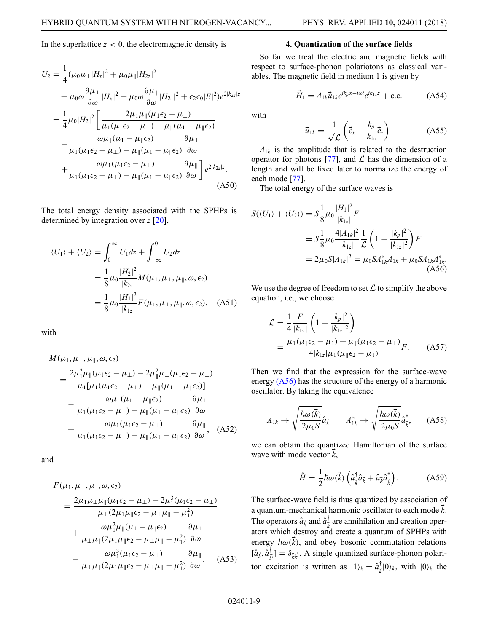In the superlattice  $z < 0$ , the electromagnetic density is

$$
U_2 = \frac{1}{4}(\mu_0 \mu_\perp |H_x|^2 + \mu_0 \mu_\parallel |H_{2z}|^2
$$
  
+  $\mu_0 \omega \frac{\partial \mu_\perp}{\partial \omega} |H_x|^2 + \mu_0 \omega \frac{\partial \mu_\parallel}{\partial \omega} |H_{2z}|^2 + \epsilon_2 \epsilon_0 |E|^2) e^{2|k_{2z}|z}$   
=  $\frac{1}{4}\mu_0 |H_2|^2 \left[ \frac{2\mu_1 \mu_\parallel (\mu_1 \epsilon_2 - \mu_\perp)}{\mu_1 (\mu_1 \epsilon_2 - \mu_\perp) - \mu_\parallel (\mu_1 - \mu_\parallel \epsilon_2)} - \frac{\omega \mu_\parallel (\mu_1 - \mu_\parallel \epsilon_2)}{\mu_1 (\mu_1 \epsilon_2 - \mu_\perp) - \mu_\parallel (\mu_1 - \mu_\parallel \epsilon_2)} \frac{\partial \mu_\perp}{\partial \omega} + \frac{\omega \mu_1 (\mu_1 \epsilon_2 - \mu_\perp)}{\mu_1 (\mu_1 \epsilon_2 - \mu_\perp) - \mu_\parallel (\mu_1 - \mu_\parallel \epsilon_2)} \frac{\partial \mu_\parallel}{\partial \omega} \right] e^{2|k_{2z}|z}.$ (A50)

The total energy density associated with the SPHPs is determined by integration over *z* [\[20\]](#page-11-8),

$$
\langle U_1 \rangle + \langle U_2 \rangle = \int_0^\infty U_1 dz + \int_{-\infty}^0 U_2 dz
$$
  
=  $\frac{1}{8} \mu_0 \frac{|H_2|^2}{|k_{2z}|} M(\mu_1, \mu_{\perp}, \mu_{\parallel}, \omega, \epsilon_2)$   
=  $\frac{1}{8} \mu_0 \frac{|H_1|^2}{|k_{1z}|} F(\mu_1, \mu_{\perp}, \mu_{\parallel}, \omega, \epsilon_2), \quad (A51)$ 

with

$$
M(\mu_1, \mu_\perp, \mu_\parallel, \omega, \epsilon_2)
$$
  
= 
$$
\frac{2\mu_1^2 \mu_\parallel(\mu_1 \epsilon_2 - \mu_\perp) - 2\mu_\parallel^2 \mu_\perp(\mu_1 \epsilon_2 - \mu_\perp)}{\mu_1[\mu_1(\mu_1 \epsilon_2 - \mu_\perp) - \mu_\parallel(\mu_1 - \mu_\parallel \epsilon_2)]}
$$
  
- 
$$
\frac{\omega \mu_\parallel(\mu_1 - \mu_\parallel \epsilon_2)}{\mu_1(\mu_1 \epsilon_2 - \mu_\perp) - \mu_\parallel(\mu_1 - \mu_\parallel \epsilon_2)} \frac{\partial \mu_\perp}{\partial \omega}
$$
  
+ 
$$
\frac{\omega \mu_1(\mu_1 \epsilon_2 - \mu_\perp)}{\mu_1(\mu_1 \epsilon_2 - \mu_\perp) - \mu_\parallel(\mu_1 - \mu_\parallel \epsilon_2)} \frac{\partial \mu_\parallel}{\partial \omega}, \quad (A52)
$$

and

$$
F(\mu_1, \mu_\perp, \mu_\parallel, \omega, \epsilon_2)
$$
\n
$$
= \frac{2\mu_1\mu_\perp\mu_\parallel(\mu_1\epsilon_2 - \mu_\perp) - 2\mu_1^3(\mu_1\epsilon_2 - \mu_\perp)}{\mu_\perp(2\mu_1\mu_\parallel\epsilon_2 - \mu_\perp\mu_\parallel - \mu_1^2)} + \frac{\omega\mu_1^2\mu_\parallel(\mu_1 - \mu_\parallel\epsilon_2)}{\mu_\perp\mu_\parallel(2\mu_1\mu_\parallel\epsilon_2 - \mu_\perp\mu_\parallel - \mu_1^2)} \frac{\partial\mu_\perp}{\partial\omega} - \frac{\omega\mu_1^3(\mu_1\epsilon_2 - \mu_\perp)}{\mu_\perp\mu_\parallel(2\mu_1\mu_\parallel\epsilon_2 - \mu_\perp\mu_\parallel - \mu_1^2)} \frac{\partial\mu_\parallel}{\partial\omega}.
$$
\n(A53)

#### **4. Quantization of the surface fields**

So far we treat the electric and magnetic fields with respect to surface-phonon polariotons as classical variables. The magnetic field in medium 1 is given by

$$
\vec{H}_1 = A_{1k}\vec{u}_{1k}e^{ik_px - i\omega t}e^{ik_{1z}z} + \text{c.c.} \tag{A54}
$$

with

$$
\vec{u}_{1k} = \frac{1}{\sqrt{\mathcal{L}}} \left( \vec{e}_x - \frac{k_p}{k_{1z}} \vec{e}_z \right). \tag{A55}
$$

 $A_{1k}$  is the amplitude that is related to the destruction operator for photons [\[77\]](#page-13-21), and  $\mathcal L$  has the dimension of a length and will be fixed later to normalize the energy of each mode [\[77\]](#page-13-21).

The total energy of the surface waves is

$$
S(\langle U_1 \rangle + \langle U_2 \rangle) = S \frac{1}{8} \mu_0 \frac{|H_1|^2}{|k_{1z}|} F
$$
  
=  $S \frac{1}{8} \mu_0 \frac{4|A_{1k}|^2}{|k_{1z}|} \frac{1}{L} \left( 1 + \frac{|k_p|^2}{|k_{1z}|^2} \right) F$   
=  $2\mu_0 S |A_{1k}|^2 = \mu_0 S A_{1k}^* A_{1k} + \mu_0 S A_{1k} A_{1k}^*$  (A56)

We use the degree of freedom to set  $\mathcal L$  to simplify the above equation, i.e., we choose

<span id="page-8-0"></span>
$$
\mathcal{L} = \frac{1}{4} \frac{F}{|k_{1z}|} \left( 1 + \frac{|k_p|^2}{|k_{1z}|^2} \right)
$$
  
= 
$$
\frac{\mu_1(\mu_{\parallel} \epsilon_2 - \mu_1) + \mu_{\parallel}(\mu_1 \epsilon_2 - \mu_{\perp})}{4 |k_{1z}| \mu_1(\mu_{\parallel} \epsilon_2 - \mu_1)} F.
$$
 (A57)

Then we find that the expression for the surface-wave energy [\(A56\)](#page-8-0) has the structure of the energy of a harmonic oscillator. By taking the equivalence

$$
A_{1k} \rightarrow \sqrt{\frac{\hbar \omega(\vec{k})}{2\mu_0 S}} \hat{a}_{\vec{k}} \qquad A_{1k}^* \rightarrow \sqrt{\frac{\hbar \omega(\vec{k})}{2\mu_0 S}} \hat{a}_{\vec{k}}^\dagger, \qquad (A58)
$$

we can obtain the quantized Hamiltonian of the surface wave with mode vector  $\vec{k}$ ,

$$
\hat{H} = \frac{1}{2}\hbar\omega(\vec{k})\left(\hat{a}_{\vec{k}}^{\dagger}\hat{a}_{\vec{k}} + \hat{a}_{\vec{k}}\hat{a}_{\vec{k}}^{\dagger}\right).
$$
 (A59)

The surface-wave field is thus quantized by association of a quantum-mechanical harmonic oscillator to each mode  $\vec{k}$ . The operators  $\hat{a}_{\vec{k}}$  and  $\hat{a}_{\vec{k}}^{\dagger}$  $\frac{1}{k}$  are annihilation and creation operators which destroy and create a quantum of SPHPs with energy  $\hbar \omega(\vec{k})$ , and obey bosonic commutation relations  $[\hat{a}_{\vec{k}},\hat{a}^\dagger_{\vec{k}}]$  $\bar{k}^{\dagger}_{\vec{k}}$ ] =  $\delta_{\vec{k}}\bar{k}$ . A single quantized surface-phonon polariton excitation is written as  $|1\rangle_k = \hat{a}^\dagger_{\vec{k}}$  $\frac{1}{k}$ |0/<sub>k</sub>, with  $|0\rangle_k$  the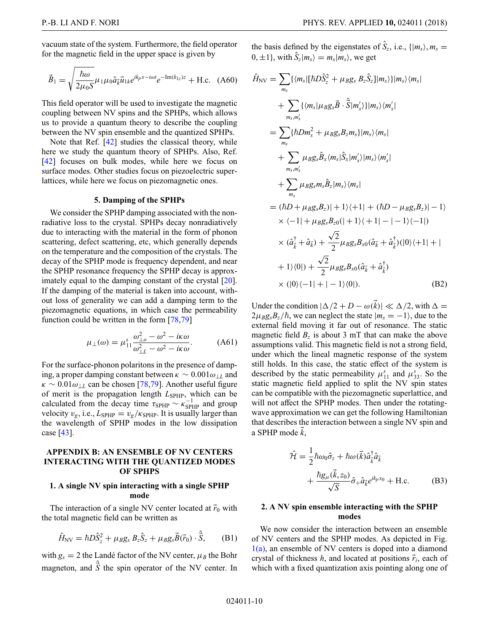P.-B. LI AND F. NORI PHYS. REV. APPLIED **10,** 024011 (2018)

vacuum state of the system. Furthermore, the field operator for the magnetic field in the upper space is given by

$$
\vec{B}_1 = \sqrt{\frac{\hbar \omega}{2\mu_0 S}} \mu_1 \mu_0 \hat{a}_{\vec{k}} \vec{u}_{1k} e^{ik_p x - i\omega t} e^{-\text{Im}(k_{1z})z} + \text{H.c.} \quad (A60)
$$

This field operator will be used to investigate the magnetic coupling between NV spins and the SPHPs, which allows us to provide a quantum theory to describe the coupling between the NV spin ensemble and the quantized SPHPs.

Note that Ref. [\[42\]](#page-12-9) studies the classical theory, while here we study the quantum theory of SPHPs. Also, Ref. [\[42\]](#page-12-9) focuses on bulk modes, while here we focus on surface modes. Other studies focus on piezoelectric superlattices, while here we focus on piezomagnetic ones.

### **5. Damping of the SPHPs**

We consider the SPHP damping associated with the nonradiative loss to the crystal. SPHPs decay nonradiatively due to interacting with the material in the form of phonon scattering, defect scattering, etc, which generally depends on the temperature and the composition of the crystals. The decay of the SPHP mode is frequency dependent, and near the SPHP resonance frequency the SPHP decay is approximately equal to the damping constant of the crystal [\[20\]](#page-11-8). If the damping of the material is taken into account, without loss of generality we can add a damping term to the piezomagnetic equations, in which case the permeability function could be written in the form [\[78,](#page-13-22)[79\]](#page-13-23)

$$
\mu_{\perp}(\omega) = \mu_{11}^s \frac{\omega_{\perp o}^2 - \omega^2 - i\kappa \omega}{\omega_{\perp L}^2 - \omega^2 - i\kappa \omega}.
$$
 (A61)

For the surface-phonon polaritons in the presence of damping, a proper damping constant between  $\kappa \sim 0.001 \omega_{\perp L}$  and  $\kappa \sim 0.01 \omega_{\perp L}$  can be chosen [\[78](#page-13-22)[,79\]](#page-13-23). Another useful figure of merit is the propagation length  $L_{\text{SPHP}}$ , which can be calculated from the decay time  $\tau_{\text{SPHP}} \sim \kappa_{\text{SPHP}}^{-1}$  and group velocity  $v_g$ , i.e.,  $L_{\text{SPHP}} = v_g / \kappa_{\text{SPHP}}$ . It is usually larger than the wavelength of SPHP modes in the low dissipation case [\[43\]](#page-12-6).

### **APPENDIX B: AN ENSEMBLE OF NV CENTERS INTERACTING WITH THE QUANTIZED MODES OF SPHPS**

## **1. A single NV spin interacting with a single SPHP mode**

The interaction of a single NV center located at  $\vec{r}_0$  with the total magnetic field can be written as

$$
\hat{H}_{\rm NV} = \hbar D \hat{S}_z^2 + \mu_B g_s B_z \hat{S}_z + \mu_B g_s \vec{B}(\vec{r}_0) \cdot \hat{\vec{S}}, \quad (B1)
$$

with  $g_s = 2$  the Landé factor of the NV center,  $\mu_B$  the Bohr magneton, and  $\hat{\vec{S}}$  the spin operator of the NV center. In the basis defined by the eigenstates of  $\hat{S}_z$ , i.e.,  $\{|m_s\rangle, m_s =$  $0, \pm 1$ , with  $\hat{S}_z | m_s \rangle = m_s | m_s \rangle$ , we get

$$
\hat{H}_{NV} = \sum_{m_S} \{ \langle m_s | [\hbar D \hat{S}_z^2 + \mu_B g_s B_z \hat{S}_z] | m_s \rangle \} | m_s \rangle \langle m_s |
$$
\n
$$
+ \sum_{m_S, m'_S} \{ \langle m_s | \mu_B g_s \vec{B} \cdot \hat{\vec{S}} | m'_s \rangle \} | m_s \rangle \langle m'_s |
$$
\n
$$
= \sum_{m_S} \{ \hbar D m_s^2 + \mu_B g_s B_z m_s \} | m_s \rangle \langle m_s |
$$
\n
$$
+ \sum_{m_S, m'_s} \mu_B g_s \hat{B}_x \langle m_s | \hat{S}_x | m'_s \rangle | m_s \rangle \langle m'_s |
$$
\n
$$
+ \sum_{m_S} \mu_B g_s m_s \hat{B}_z | m_s \rangle \langle m_s |
$$
\n
$$
= (\hbar D + \mu_B g_s B_z) | + 1 \rangle \langle + 1 | + (\hbar D - \mu_B g_s B_z) | - 1 \rangle
$$
\n
$$
\times \langle -1 | + \mu_B g_s B_{z0} (| + 1 \rangle \langle + 1 | - | - 1 \rangle \langle -1 |)
$$
\n
$$
\times (\hat{a}_{\vec{k}}^{\dagger} + \hat{a}_{\vec{k}}) + \frac{\sqrt{2}}{2} \mu_B g_s B_{x0} (\hat{a}_{\vec{k}} + \hat{a}_{\vec{k}}^{\dagger}) \langle | 0 \rangle \langle + 1 | + |
$$
\n
$$
+ 1 \rangle \langle 0 |) + \frac{\sqrt{2}}{2} \mu_B g_s B_{x0} (\hat{a}_{\vec{k}} + \hat{a}_{\vec{k}}^{\dagger})
$$
\n
$$
\times (|0 \rangle \langle -1 | + | - 1 \rangle \langle 0 |).
$$
\n(B2)

Under the condition  $|\Delta/2 + D - \omega(\vec{k})| \ll \Delta/2$ , with  $\Delta =$  $2\mu_B g_s B_z/\hbar$ , we can neglect the state  $|m_s = -1\rangle$ , due to the external field moving it far out of resonance. The static magnetic field  $B_z$  is about 3 mT that can make the above assumptions valid. This magnetic field is not a strong field, under which the lineal magnetic response of the system still holds. In this case, the static effect of the system is described by the static permeability  $\mu_{11}^s$  and  $\mu_{33}^s$ . So the static magnetic field applied to split the NV spin states can be compatible with the piezomagnetic superlattice, and will not affect the SPHP modes. Then under the rotatingwave approximation we can get the following Hamiltonian that describes the interaction between a single NV spin and a SPHP mode  $\vec{k}$ ,

$$
\hat{\mathcal{H}} = \frac{1}{2} \hbar \omega_0 \hat{\sigma}_z + \hbar \omega (\vec{k}) \hat{a}_{\vec{k}}^{\dagger} \hat{a}_{\vec{k}} \n+ \frac{\hbar g_\mu (\vec{k}, z_0)}{\sqrt{S}} \hat{\sigma}_+ \hat{a}_{\vec{k}} e^{ik_p x_0} + \text{H.c.}
$$
\n(B3)

## **2. A NV spin ensemble interacting with the SPHP modes**

We now consider the interaction between an ensemble of NV centers and the SPHP modes. As depicted in Fig.  $1(a)$ , an ensemble of NV centers is doped into a diamond crystal of thickness  $h$ , and located at positions  $\vec{r}_i$ , each of which with a fixed quantization axis pointing along one of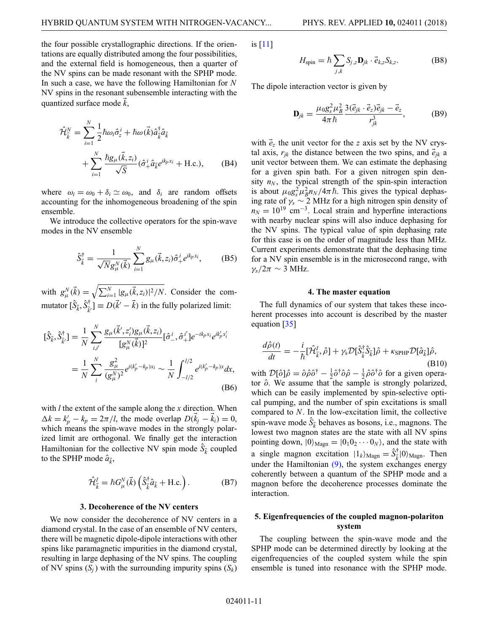the four possible crystallographic directions. If the orientations are equally distributed among the four possibilities, and the external field is homogeneous, then a quarter of the NV spins can be made resonant with the SPHP mode. In such a case, we have the following Hamiltonian for *N* NV spins in the resonant subensemble interacting with the quantized surface mode *k* ,

$$
\hat{\mathcal{H}}_{\vec{k}}^N = \sum_{i=1}^N \frac{1}{2} \hbar \omega_i \hat{\sigma}_z^i + \hbar \omega (\vec{k}) \hat{a}_{\vec{k}}^\dagger \hat{a}_{\vec{k}} \n+ \sum_{i=1}^N \frac{\hbar g_\mu(\vec{k}, z_i)}{\sqrt{S}} (\hat{\sigma}_+^i \hat{a}_{\vec{k}} e^{ik_p x_i} + \text{H.c.}), \quad (B4)
$$

where  $\omega_i = \omega_0 + \delta_i \simeq \omega_0$ , and  $\delta_i$  are random offsets accounting for the inhomogeneous broadening of the spin ensemble.

We introduce the collective operators for the spin-wave modes in the NV ensemble

$$
\hat{S}_{\vec{k}}^{\dagger} = \frac{1}{\sqrt{N}g_{\mu}^{N}(\vec{k})} \sum_{i=1}^{N} g_{\mu}(\vec{k}, z_i) \hat{\sigma}_{+}^{i} e^{ik_p x_i}, \quad (B5)
$$

with  $g^N_\mu(\vec{k}) = \sqrt{\sum_{i=1}^N |g_\mu(\vec{k}, z_i)|^2/N}$ . Consider the commutator  $[\hat{S}_{\vec{k}}, \hat{S}_{\vec{k}'}^{\dagger}] \equiv D(\vec{k}' - \vec{k})$  in the fully polarized limit:

$$
[\hat{S}_{\vec{k}}, \hat{S}_{\vec{k}'}^{\dagger}] = \frac{1}{N} \sum_{i,i'}^{N} \frac{g_{\mu}(\vec{k}', z_i')g_{\mu}(\vec{k}, z_i)}{[g_{\mu}^{N}(\vec{k})]^2} [\hat{\sigma}_{-}^{i}, \hat{\sigma}_{+}^{i'}] e^{-ik_p x_i} e^{ik_p' x_i'}
$$

$$
= \frac{1}{N} \sum_{i}^{N} \frac{g_{\mu}^{2}}{(g_{\mu}^{N})^2} e^{i(k_p' - k_p)x_i} \sim \frac{1}{N} \int_{-l/2}^{l/2} e^{i(k_p' - k_p)x} dx,
$$
(B6)

with *l* the extent of the sample along the *x* direction. When  $\Delta k = k'_p - k_p = 2\pi/l$ , the mode overlap  $D(\vec{k}_j - \vec{k}_i) = 0$ , which means the spin-wave modes in the strongly polarized limit are orthogonal. We finally get the interaction Hamiltonian for the collective NV spin mode  $\hat{S}_{\vec{k}}$  coupled to the SPHP mode  $\hat{a}_{\vec{k}}$ ,

$$
\hat{\mathcal{H}}_{\vec{k}}^I = \hbar G_{\mu}^N(\vec{k}) \left( \hat{S}_{\vec{k}}^{\dagger} \hat{a}_{\vec{k}} + \text{H.c.} \right). \tag{B7}
$$

#### **3. Decoherence of the NV centers**

We now consider the decoherence of NV centers in a diamond crystal. In the case of an ensemble of NV centers, there will be magnetic dipole-dipole interactions with other spins like paramagnetic impurities in the diamond crystal, resulting in large dephasing of the NV spins. The coupling of NV spins  $(S_i)$  with the surrounding impurity spins  $(S_k)$  is [\[11\]](#page-11-10)

$$
H_{\text{spin}} = \hbar \sum_{j,k} S_{j,z} \mathbf{D}_{jk} \cdot \vec{e}_{k,z} S_{k,z}.
$$
 (B8)

The dipole interaction vector is given by

$$
\mathbf{D}_{jk} = \frac{\mu_0 g_s^2 \mu_B^2}{4\pi\hbar} \frac{3(\vec{e}_{jk} \cdot \vec{e}_z)\vec{e}_{jk} - \vec{e}_z}{r_{jk}^3},
$$
(B9)

with  $\vec{e}_z$  the unit vector for the *z* axis set by the NV crystal axis,  $r_{jk}$  the distance between the two spins, and  $\vec{e}_{jk}$  a unit vector between them. We can estimate the dephasing for a given spin bath. For a given nitrogen spin density  $n_N$ , the typical strength of the spin-spin interaction is about  $\mu_0 g_s^2 \mu_B^2 n_N / 4\pi \hbar$ . This gives the typical dephasing rate of  $\gamma_s \sim 2$  MHz for a high nitrogen spin density of  $n_N = 10^{19}$  cm<sup>-3</sup>. Local strain and hyperfine interactions with nearby nuclear spins will also induce dephasing for the NV spins. The typical value of spin dephasing rate for this case is on the order of magnitude less than MHz. Current experiments demonstrate that the dephasing time for a NV spin ensemble is in the microsecond range, with  $\gamma_s/2\pi \sim 3$  MHz.

#### **4. The master equation**

The full dynamics of our system that takes these incoherent processes into account is described by the master equation [\[35\]](#page-12-2)

$$
\frac{d\hat{\rho}(t)}{dt} = -\frac{i}{\hbar} [\hat{\mathcal{H}}_{\vec{k}}^I, \hat{\rho}] + \gamma_{\rm s} \mathcal{D}[\hat{S}_{\vec{k}}^{\dagger} \hat{S}_{\vec{k}}] \hat{\rho} + \kappa_{\rm SPHP} \mathcal{D}[\hat{a}_{\vec{k}}] \hat{\rho},
$$
(B10)

with  $\mathcal{D}[\hat{o}]\hat{\rho} = \hat{o}\hat{\rho}\hat{o}^{\dagger} - \frac{1}{2}\hat{o}^{\dagger}\hat{o}\hat{\rho} - \frac{1}{2}\hat{\rho}\hat{o}^{\dagger}\hat{o}$  for a given operator  $\hat{o}$ . We assume that the sample is strongly polarized, which can be easily implemented by spin-selective optical pumping, and the number of spin excitations is small compared to *N*. In the low-excitation limit, the collective spin-wave mode  $\hat{S}_{\vec{k}}$  behaves as bosons, i.e., magnons. The lowest two magnon states are the state with all NV spins pointing down,  $|0\rangle_{\text{Magn}} = |0_1 0_2 \cdots 0_N \rangle$ , and the state with a single magnon excitation  $|1_k\rangle_{\text{Magn}} = \hat{S}_{\vec{k}}^{\dagger} |0\rangle_{\text{Magn}}$ . Then under the Hamiltonian  $(9)$ , the system exchanges energy coherently between a quantum of the SPHP mode and a magnon before the decoherence processes dominate the interaction.

### **5. Eigenfrequencies of the coupled magnon-polariton system**

The coupling between the spin-wave mode and the SPHP mode can be determined directly by looking at the eigenfrequencies of the coupled system while the spin ensemble is tuned into resonance with the SPHP mode.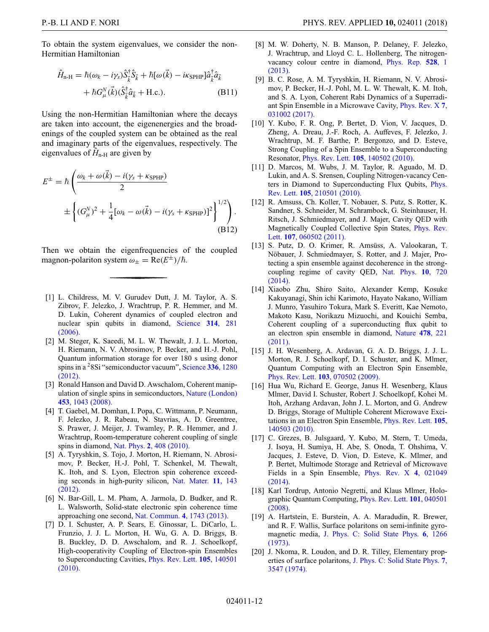To obtain the system eigenvalues, we consider the non-Hermitian Hamiltonian

$$
\hat{H}_{n-H} = \hbar(\omega_k - i\gamma_s)\hat{S}_{\vec{k}}^{\dagger}\hat{S}_{\vec{k}} + \hbar[\omega(\vec{k}) - i\kappa_{\text{SPHP}}]\hat{a}_{\vec{k}}^{\dagger}\hat{a}_{\vec{k}} + \hbar G_{\mu}^{N}(\vec{k})(\hat{S}_{\vec{k}}^{\dagger}\hat{a}_{\vec{k}} + \text{H.c.}).
$$
\n(B11)

Using the non-Hermitian Hamiltonian where the decays are taken into account, the eigenenergies and the broadenings of the coupled system can be obtained as the real and imaginary parts of the eigenvalues, respectively. The eigenvalues of  $\hat{H}_{n-H}$  are given by

$$
E^{\pm} = \hbar \left( \frac{\omega_k + \omega(\vec{k}) - i(\gamma_s + \kappa_{\text{SPHP}})}{2} \pm \left\{ (G_{\mu}^{N})^2 + \frac{1}{4} [\omega_k - \omega(\vec{k}) - i(\gamma_s + \kappa_{\text{SPHP}})]^2 \right\}^{1/2} \right).
$$
\n(B12)

Then we obtain the eigenfrequencies of the coupled magnon-polariton system  $\omega_{\pm} = \text{Re}(E^{\pm})/\hbar$ .

- <span id="page-11-0"></span>[1] L. Childress, M. V. Gurudev Dutt, J. M. Taylor, A. S. Zibrov, F. Jelezko, J. Wrachtrup, P. R. Hemmer, and M. D. Lukin, Coherent dynamics of coupled electron and [nuclear spin qubits in diamond,](https://doi.org/10.1126/science.1131871) Science **314**, 281 (2006).
- [2] M. Steger, K. Saeedi, M. L. W. Thewalt, J. J. L. Morton, H. Riemann, N. V. Abrosimov, P. Becker, and H.-J. Pohl, Quantum information storage for over 180 s using donor spins in a [28Si "semiconductor vacuum",](https://doi.org/10.1126/science.1217635) Science **336**, 1280 (2012).
- [3] Ronald Hanson and David D. Awschalom, Coherent manip[ulation of single spins in semiconductors,](https://doi.org/10.1038/nature07129) Nature (London) **453**, 1043 (2008).
- [4] T. Gaebel, M. Domhan, I. Popa, C. Wittmann, P. Neumann, F. Jelezko, J. R. Rabeau, N. Stavrias, A. D. Greentree, S. Prawer, J. Meijer, J. Twamley, P. R. Hemmer, and J. Wrachtrup, Room-temperature coherent coupling of single spins in diamond, Nat. Phys. **2**[, 408 \(2010\).](https://doi.org/10.1038/nphys318)
- [5] A. Tyryshkin, S. Tojo, J. Morton, H. Riemann, N. Abrosimov, P. Becker, H.-J. Pohl, T. Schenkel, M. Thewalt, K. Itoh, and S. Lyon, Electron spin coherence exceed[ing seconds in high-purity silicon,](https://doi.org/10.1038/nmat3182) Nat. Mater. **11**, 143 (2012).
- [6] N. Bar-Gill, L. M. Pham, A. Jarmola, D. Budker, and R. L. Walsworth, Solid-state electronic spin coherence time approaching one second, [Nat. Commun.](https://doi.org/10.1038/ncomms2771) **4**, 1743 (2013).
- [7] D. I. Schuster, A. P. Sears, E. Ginossar, L. DiCarlo, L. Frunzio, J. J. L. Morton, H. Wu, G. A. D. Briggs, B. B. Buckley, D. D. Awschalom, and R. J. Schoelkopf, High-cooperativity Coupling of Electron-spin Ensembles [to Superconducting Cavities,](https://doi.org/10.1103/PhysRevLett.105.140501) Phys. Rev. Lett. **105**, 140501 (2010).
- [8] M. W. Doherty, N. B. Manson, P. Delaney, F. Jelezko, J. Wrachtrup, and Lloyd C. L. Hollenberg, The nitrogen[vacancy colour centre in diamond,](https://doi.org/10.1016/j.physrep.2013.02.001) Phys. Rep. **528**, 1 (2013).
- <span id="page-11-1"></span>[9] B. C. Rose, A. M. Tyryshkin, H. Riemann, N. V. Abrosimov, P. Becker, H.-J. Pohl, M. L. W. Thewalt, K. M. Itoh, and S. A. Lyon, Coherent Rabi Dynamics of a Superradi[ant Spin Ensemble in a Microwave Cavity,](https://doi.org/10.1103/PhysRevX.7.031002) Phys. Rev. X **7**, 031002 (2017).
- <span id="page-11-2"></span>[10] Y. Kubo, F. R. Ong, P. Bertet, D. Vion, V. Jacques, D. Zheng, A. Dreau, J.-F. Roch, A. Auffeves, F. Jelezko, J. Wrachtrup, M. F. Barthe, P. Bergonzo, and D. Esteve, Strong Coupling of a Spin Ensemble to a Superconducting Resonator, Phys. Rev. Lett. **105**[, 140502 \(2010\).](https://doi.org/10.1103/PhysRevLett.105.140502)
- <span id="page-11-10"></span>[11] D. Marcos, M. Wubs, J. M. Taylor, R. Aguado, M. D. Lukin, and A. S. Srensen, Coupling Nitrogen-vacancy Cen[ters in Diamond to Superconducting Flux Qubits,](https://doi.org/10.1103/PhysRevLett.105.210501) Phys. Rev. Lett. **105**, 210501 (2010).
- <span id="page-11-9"></span>[12] R. Amsuss, Ch. Koller, T. Nobauer, S. Putz, S. Rotter, K. Sandner, S. Schneider, M. Schrambock, G. Steinhauser, H. Ritsch, J. Schmiedmayer, and J. Majer, Cavity QED with [Magnetically Coupled Collective Spin States,](https://doi.org/10.1103/PhysRevLett.107.060502) Phys. Rev. Lett. **107**, 060502 (2011).
- [13] S. Putz, D. O. Krimer, R. Amsüss, A. Valookaran, T. Nöbauer, J. Schmiedmayer, S. Rotter, and J. Majer, Protecting a spin ensemble against decoherence in the strong[coupling regime of cavity QED,](https://doi.org/10.1038/nphys3050) Nat. Phys. **10**, 720 (2014).
- <span id="page-11-3"></span>[14] Xiaobo Zhu, Shiro Saito, Alexander Kemp, Kosuke Kakuyanagi, Shin ichi Karimoto, Hayato Nakano, William J. Munro, Yasuhiro Tokura, Mark S. Everitt, Kae Nemoto, Makoto Kasu, Norikazu Mizuochi, and Kouichi Semba, Coherent coupling of a superconducting flux qubit to [an electron spin ensemble in diamond,](https://doi.org/10.1038/nature10462) Nature **478**, 221 (2011).
- <span id="page-11-4"></span>[15] J. H. Wesenberg, A. Ardavan, G. A. D. Briggs, J. J. L. Morton, R. J. Schoelkopf, D. I. Schuster, and K. Mlmer, Quantum Computing with an Electron Spin Ensemble, Phys. Rev. Lett. **103**[, 070502 \(2009\).](https://doi.org/10.1103/PhysRevLett.103.070502)
- [16] Hua Wu, Richard E. George, Janus H. Wesenberg, Klaus Mlmer, David I. Schuster, Robert J. Schoelkopf, Kohei M. Itoh, Arzhang Ardavan, John J. L. Morton, and G. Andrew D. Briggs, Storage of Multiple Coherent Microwave Exci[tations in an Electron Spin Ensemble,](https://doi.org/10.1103/PhysRevLett.105.140503) Phys. Rev. Lett. **105**, 140503 (2010).
- <span id="page-11-5"></span>[17] C. Grezes, B. Julsgaard, Y. Kubo, M. Stern, T. Umeda, J. Isoya, H. Sumiya, H. Abe, S. Onoda, T. Ohshima, V. Jacques, J. Esteve, D. Vion, D. Esteve, K. Mlmer, and P. Bertet, Multimode Storage and Retrieval of Microwave [Fields in a Spin Ensemble,](https://doi.org/10.1103/PhysRevX.4.021049) Phys. Rev. X **4**, 021049 (2014).
- <span id="page-11-6"></span>[18] Karl Tordrup, Antonio Negretti, and Klaus Mlmer, Holo[graphic Quantum Computing,](https://doi.org/10.1103/PhysRevLett.101.040501) Phys. Rev. Lett. **101**, 040501 (2008).
- <span id="page-11-7"></span>[19] A. Hartstein, E. Burstein, A. A. Maradudin, R. Brewer, and R. F. Wallis, Surface polaritons on semi-infinite gyromagnetic media, [J. Phys. C: Solid State Phys.](https://doi.org/10.1088/0022-3719/6/7/016) **6**, 1266 (1973).
- <span id="page-11-8"></span>[20] J. Nkoma, R. Loudon, and D. R. Tilley, Elementary properties of surface polaritons, [J. Phys. C: Solid State Phys.](https://doi.org/10.1088/0022-3719/7/19/015) **7**, 3547 (1974).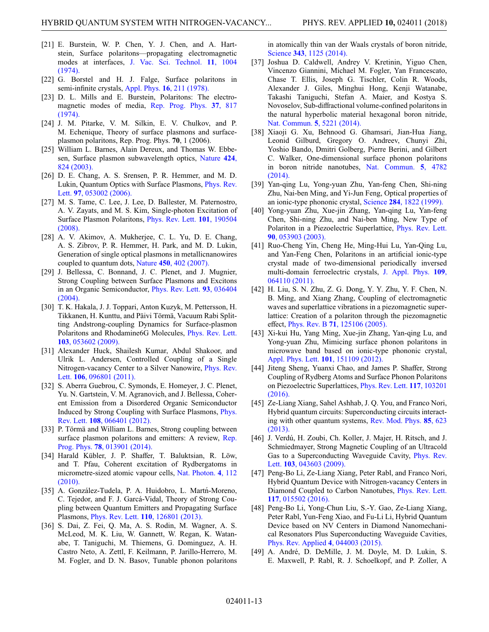- [21] E. Burstein, W. P. Chen, Y. J. Chen, and A. Hartstein, Surface polaritons—propagating electromagnetic modes at interfaces, [J. Vac. Sci. Technol.](https://doi.org/10.1116/1.1318673) **11**, 1004 (1974).
- [22] G. Borstel and H. J. Falge, Surface polaritons in semi-infinite crystals, Appl. Phys. **16**[, 211 \(1978\).](https://doi.org/10.1007/BF00885115)
- <span id="page-12-0"></span>[23] D. L. Mills and E. Burstein, Polaritons: The electro[magnetic modes of media,](https://doi.org/10.1088/0034-4885/37/7/001) Rep. Prog. Phys. **37**, 817 (1974).
- <span id="page-12-1"></span>[24] J. M. Pitarke, V. M. Silkin, E. V. Chulkov, and P. M. Echenique, Theory of surface plasmons and surfaceplasmon polaritons, Rep. Prog. Phys. **70**, 1 (2006).
- [25] William L. Barnes, Alain Dereux, and Thomas W. Ebbe[sen, Surface plasmon subwavelength optics,](https://doi.org/10.1038/nature01937) Nature **424**, 824 (2003).
- [26] D. E. Chang, A. S. Srensen, P. R. Hemmer, and M. D. [Lukin, Quantum Optics with Surface Plasmons,](https://doi.org/10.1103/PhysRevLett.97.053002) Phys. Rev. Lett. **97**, 053002 (2006).
- [27] M. S. Tame, C. Lee, J. Lee, D. Ballester, M. Paternostro, A. V. Zayats, and M. S. Kim, Single-photon Excitation of [Surface Plasmon Polaritons,](https://doi.org/10.1103/PhysRevLett.101.190504) Phys. Rev. Lett. **101**, 190504 (2008).
- [28] A. V. Akimov, A. Mukherjee, C. L. Yu, D. E. Chang, A. S. Zibrov, P. R. Hemmer, H. Park, and M. D. Lukin, Generation of single optical plasmons in metallicnanowires coupled to quantum dots, Nature **450**[, 402 \(2007\).](https://doi.org/10.1038/nature06230)
- [29] J. Bellessa, C. Bonnand, J. C. Plenet, and J. Mugnier, Strong Coupling between Surface Plasmons and Excitons [in an Organic Semiconductor,](https://doi.org/10.1103/PhysRevLett.93.036404) Phys. Rev. Lett. **93**, 036404 (2004).
- [30] T. K. Hakala, J. J. Toppari, Anton Kuzyk, M. Pettersson, H. Tikkanen, H. Kunttu, and Päivi Törmä, Vacuum Rabi Splitting Andstrong-coupling Dynamics for Surface-plasmon [Polaritons and Rhodamine6G Molecules,](https://doi.org/10.1103/PhysRevLett.103.053602) Phys. Rev. Lett. **103**, 053602 (2009).
- [31] Alexander Huck, Shailesh Kumar, Abdul Shakoor, and Ulrik L. Andersen, Controlled Coupling of a Single [Nitrogen-vacancy Center to a Silver Nanowire,](https://doi.org/10.1103/PhysRevLett.106.096801) Phys. Rev. Lett. **106**, 096801 (2011).
- [32] S. Aberra Guebrou, C. Symonds, E. Homeyer, J. C. Plenet, Yu. N. Gartstein, V. M. Agranovich, and J. Bellessa, Coherent Emission from a Disordered Organic Semiconductor [Induced by Strong Coupling with Surface Plasmons,](https://doi.org/10.1103/PhysRevLett.108.066401) Phys. Rev. Lett. **108**, 066401 (2012).
- [33] P. Törmä and William L. Barnes, Strong coupling between [surface plasmon polaritons and emitters: A review,](https://doi.org/10.1088/0034-4885/78/1/013901) Rep. Prog. Phys. **78**, 013901 (2014).
- [34] Harald Kübler, J. P. Shaffer, T. Baluktsian, R. Löw, and T. Pfau, Coherent excitation of Rydbergatoms in [micrometre-sized atomic vapour cells,](https://doi.org/10.1038/nphoton.2009.260) Nat. Photon. **4**, 112 (2010).
- <span id="page-12-2"></span>[35] A. González-Tudela, P. A. Huidobro, L. Martn-Moreno, C. Tejedor, and F. J. Garcá-Vidal, Theory of Strong Coupling between Quantum Emitters and Propagating Surface Plasmons, Phys. Rev. Lett. **110**[, 126801 \(2013\).](https://doi.org/10.1103/PhysRevLett.110.126801)
- <span id="page-12-3"></span>[36] S. Dai, Z. Fei, Q. Ma, A. S. Rodin, M. Wagner, A. S. McLeod, M. K. Liu, W. Gannett, W. Regan, K. Watanabe, T. Taniguchi, M. Thiemens, G. Dominguez, A. H. Castro Neto, A. Zettl, F. Keilmann, P. Jarillo-Herrero, M. M. Fogler, and D. N. Basov, Tunable phonon polaritons

in atomically thin van der Waals crystals of boron nitride, Science **343**[, 1125 \(2014\).](https://doi.org/10.1126/science.1246833)

- [37] Joshua D. Caldwell, Andrey V. Kretinin, Yiguo Chen, Vincenzo Giannini, Michael M. Fogler, Yan Francescato, Chase T. Ellis, Joseph G. Tischler, Colin R. Woods, Alexander J. Giles, Minghui Hong, Kenji Watanabe, Takashi Taniguchi, Stefan A. Maier, and Kostya S. Novoselov, Sub-diffractional volume-confined polaritons in the natural hyperbolic material hexagonal boron nitride, [Nat. Commun.](https://doi.org/10.1038/ncomms6221) **5**, 5221 (2014).
- <span id="page-12-4"></span>[38] Xiaoji G. Xu, Behnood G. Ghamsari, Jian-Hua Jiang, Leonid Gilburd, Gregory O. Andreev, Chunyi Zhi, Yoshio Bando, Dmitri Golberg, Pierre Berini, and Gilbert C. Walker, One-dimensional surface phonon polaritons [in boron nitride nanotubes,](https://doi.org/10.1038/ncomms5782) Nat. Commun. **5**, 4782 (2014).
- <span id="page-12-5"></span>[39] Yan-qing Lu, Yong-yuan Zhu, Yan-feng Chen, Shi-ning Zhu, Nai-ben Ming, and Yi-Jun Feng, Optical properties of an ionic-type phononic crystal, Science **284**[, 1822 \(1999\).](https://doi.org/10.1126/science.284.5421.1822)
- <span id="page-12-11"></span>[40] Yong-yuan Zhu, Xue-jin Zhang, Yan-qing Lu, Yan-feng Chen, Shi-ning Zhu, and Nai-ben Ming, New Type of [Polariton in a Piezoelectric Superlattice,](https://doi.org/10.1103/PhysRevLett.90.053903) Phys. Rev. Lett. **90**, 053903 (2003).
- <span id="page-12-10"></span>[41] Ruo-Cheng Yin, Cheng He, Ming-Hui Lu, Yan-Qing Lu, and Yan-Feng Chen, Polaritons in an artificial ionic-type crystal made of two-dimensional periodically inversed [multi-domain ferroelectric crystals,](https://doi.org/10.1063/1.3554831) J. Appl. Phys. **109**, 064110 (2011).
- <span id="page-12-9"></span>[42] H. Liu, S. N. Zhu, Z. G. Dong, Y. Y. Zhu, Y. F. Chen, N. B. Ming, and Xiang Zhang, Coupling of electromagnetic waves and superlattice vibrations in a piezomagnetic superlattice: Creation of a polariton through the piezomagnetic effect, Phys. Rev. B **71**[, 125106 \(2005\).](https://doi.org/10.1103/PhysRevB.71.125106)
- <span id="page-12-6"></span>[43] Xi-kui Hu, Yang Ming, Xue-jin Zhang, Yan-qing Lu, and Yong-yuan Zhu, Mimicing surface phonon polaritons in microwave band based on ionic-type phononic crystal, [Appl. Phys. Lett.](https://doi.org/10.1063/1.4758467) **101**, 151109 (2012).
- <span id="page-12-7"></span>[44] Jiteng Sheng, Yuanxi Chao, and James P. Shaffer, Strong Coupling of Rydberg Atoms and Surface Phonon Polaritons [on Piezoelectric Superlattices,](https://doi.org/10.1103/PhysRevLett.117.103201) Phys. Rev. Lett. **117**, 103201 (2016).
- <span id="page-12-8"></span>[45] Ze-Liang Xiang, Sahel Ashhab, J. Q. You, and Franco Nori, Hybrid quantum circuits: Superconducting circuits interact[ing with other quantum systems,](https://doi.org/10.1103/RevModPhys.85.623) Rev. Mod. Phys. **85**, 623 (2013).
- [46] J. Verdú, H. Zoubi, Ch. Koller, J. Majer, H. Ritsch, and J. Schmiedmayer, Strong Magnetic Coupling of an Ultracold [Gas to a Superconducting Waveguide Cavity,](https://doi.org/10.1103/PhysRevLett.103.043603) Phys. Rev. Lett. **103**, 043603 (2009).
- [47] Peng-Bo Li, Ze-Liang Xiang, Peter Rabl, and Franco Nori, Hybrid Quantum Device with Nitrogen-vacancy Centers in [Diamond Coupled to Carbon Nanotubes,](https://doi.org/10.1103/PhysRevLett.117.015502) Phys. Rev. Lett. **117**, 015502 (2016).
- [48] Peng-Bo Li, Yong-Chun Liu, S.-Y. Gao, Ze-Liang Xiang, Peter Rabl, Yun-Feng Xiao, and Fu-Li Li, Hybrid Quantum Device based on NV Centers in Diamond Nanomechanical Resonators Plus Superconducting Waveguide Cavities, [Phys. Rev. Applied](https://doi.org/10.1103/PhysRevApplied.4.044003) **4**, 044003 (2015).
- [49] A. André, D. DeMille, J. M. Doyle, M. D. Lukin, S. E. Maxwell, P. Rabl, R. J. Schoelkopf, and P. Zoller, A